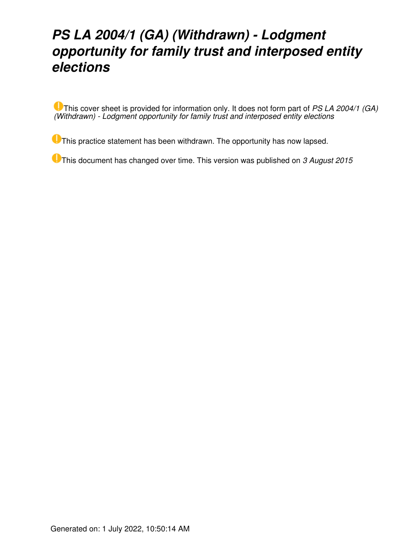## *PS LA 2004/1 (GA) (Withdrawn) - Lodgment opportunity for family trust and interposed entity elections*

This cover sheet is provided for information only. It does not form part of *PS LA 2004/1 (GA) (Withdrawn) - Lodgment opportunity for family trust and interposed entity elections*

**O** This practice statement has been withdrawn. The opportunity has now lapsed.

This document has changed over time. This version was published on *3 August 2015*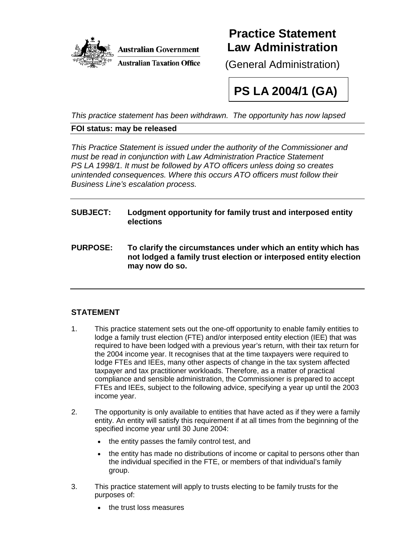

### **Practice Statement Law Administration**

(General Administration)

# **PS LA 2004/1 (GA)**

*This practice statement has been withdrawn. The opportunity has now lapsed*

#### **FOI status: may be released**

*This Practice Statement is issued under the authority of the Commissioner and must be read in conjunction with Law Administration Practice Statement PS LA 1998/1. It must be followed by ATO officers unless doing so creates unintended consequences. Where this occurs ATO officers must follow their Business Line's escalation process.* 

#### **SUBJECT: Lodgment opportunity for family trust and interposed entity elections**

**PURPOSE: To clarify the circumstances under which an entity which has not lodged a family trust election or interposed entity election may now do so.** 

#### **STATEMENT**

- 1. This practice statement sets out the one-off opportunity to enable family entities to lodge a family trust election (FTE) and/or interposed entity election (IEE) that was required to have been lodged with a previous year's return, with their tax return for the 2004 income year. It recognises that at the time taxpayers were required to lodge FTEs and IEEs, many other aspects of change in the tax system affected taxpayer and tax practitioner workloads. Therefore, as a matter of practical compliance and sensible administration, the Commissioner is prepared to accept FTEs and IEEs, subject to the following advice, specifying a year up until the 2003 income year.
- 2. The opportunity is only available to entities that have acted as if they were a family entity. An entity will satisfy this requirement if at all times from the beginning of the specified income year until 30 June 2004:
	- the entity passes the family control test, and
	- the entity has made no distributions of income or capital to persons other than the individual specified in the FTE, or members of that individual's family group.
- 3. This practice statement will apply to trusts electing to be family trusts for the purposes of:
	- the trust loss measures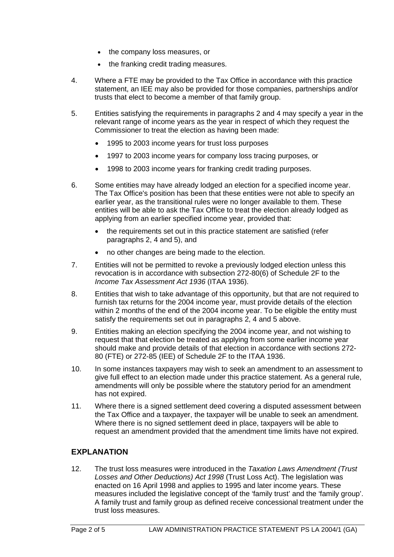- the company loss measures, or
- the franking credit trading measures.
- 4. Where a FTE may be provided to the Tax Office in accordance with this practice statement, an IEE may also be provided for those companies, partnerships and/or trusts that elect to become a member of that family group.
- 5. Entities satisfying the requirements in paragraphs 2 and 4 may specify a year in the relevant range of income years as the year in respect of which they request the Commissioner to treat the election as having been made:
	- 1995 to 2003 income years for trust loss purposes
	- 1997 to 2003 income years for company loss tracing purposes, or
	- 1998 to 2003 income years for franking credit trading purposes.
- 6. Some entities may have already lodged an election for a specified income year. The Tax Office's position has been that these entities were not able to specify an earlier year, as the transitional rules were no longer available to them. These entities will be able to ask the Tax Office to treat the election already lodged as applying from an earlier specified income year, provided that:
	- the requirements set out in this practice statement are satisfied (refer paragraphs 2, 4 and 5), and
	- no other changes are being made to the election.
- 7. Entities will not be permitted to revoke a previously lodged election unless this revocation is in accordance with subsection 272-80(6) of Schedule 2F to the *Income Tax Assessment Act 1936* (ITAA 1936).
- 8. Entities that wish to take advantage of this opportunity, but that are not required to furnish tax returns for the 2004 income year, must provide details of the election within 2 months of the end of the 2004 income year. To be eligible the entity must satisfy the requirements set out in paragraphs 2, 4 and 5 above.
- 9. Entities making an election specifying the 2004 income year, and not wishing to request that that election be treated as applying from some earlier income year should make and provide details of that election in accordance with sections 272- 80 (FTE) or 272-85 (IEE) of Schedule 2F to the ITAA 1936.
- 10. In some instances taxpayers may wish to seek an amendment to an assessment to give full effect to an election made under this practice statement. As a general rule, amendments will only be possible where the statutory period for an amendment has not expired.
- 11. Where there is a signed settlement deed covering a disputed assessment between the Tax Office and a taxpayer, the taxpayer will be unable to seek an amendment. Where there is no signed settlement deed in place, taxpayers will be able to request an amendment provided that the amendment time limits have not expired.

#### **EXPLANATION**

12. The trust loss measures were introduced in the *Taxation Laws Amendment (Trust Losses and Other Deductions) Act 1998* (Trust Loss Act). The legislation was enacted on 16 April 1998 and applies to 1995 and later income years. These measures included the legislative concept of the 'family trust' and the 'family group'. A family trust and family group as defined receive concessional treatment under the trust loss measures.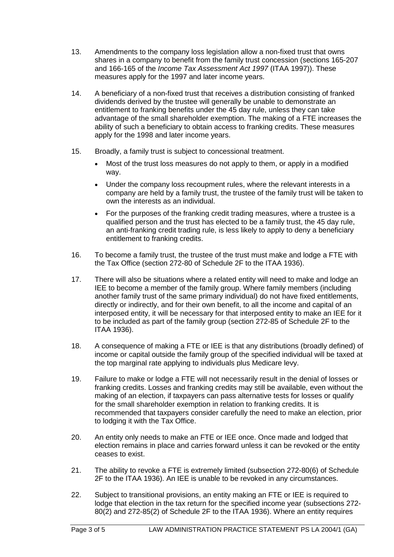- 13. Amendments to the company loss legislation allow a non-fixed trust that owns shares in a company to benefit from the family trust concession (sections 165-207 and 166-165 of the *Income Tax Assessment Act 1997* (ITAA 1997)). These measures apply for the 1997 and later income years.
- 14. A beneficiary of a non-fixed trust that receives a distribution consisting of franked dividends derived by the trustee will generally be unable to demonstrate an entitlement to franking benefits under the 45 day rule, unless they can take advantage of the small shareholder exemption. The making of a FTE increases the ability of such a beneficiary to obtain access to franking credits. These measures apply for the 1998 and later income years.
- 15. Broadly, a family trust is subject to concessional treatment.
	- Most of the trust loss measures do not apply to them, or apply in a modified way.
	- Under the company loss recoupment rules, where the relevant interests in a company are held by a family trust, the trustee of the family trust will be taken to own the interests as an individual.
	- For the purposes of the franking credit trading measures, where a trustee is a qualified person and the trust has elected to be a family trust, the 45 day rule, an anti-franking credit trading rule, is less likely to apply to deny a beneficiary entitlement to franking credits.
- 16. To become a family trust, the trustee of the trust must make and lodge a FTE with the Tax Office (section 272-80 of Schedule 2F to the ITAA 1936).
- 17. There will also be situations where a related entity will need to make and lodge an IEE to become a member of the family group. Where family members (including another family trust of the same primary individual) do not have fixed entitlements, directly or indirectly, and for their own benefit, to all the income and capital of an interposed entity, it will be necessary for that interposed entity to make an IEE for it to be included as part of the family group (section 272-85 of Schedule 2F to the ITAA 1936).
- 18. A consequence of making a FTE or IEE is that any distributions (broadly defined) of income or capital outside the family group of the specified individual will be taxed at the top marginal rate applying to individuals plus Medicare levy.
- 19. Failure to make or lodge a FTE will not necessarily result in the denial of losses or franking credits. Losses and franking credits may still be available, even without the making of an election, if taxpayers can pass alternative tests for losses or qualify for the small shareholder exemption in relation to franking credits. It is recommended that taxpayers consider carefully the need to make an election, prior to lodging it with the Tax Office.
- 20. An entity only needs to make an FTE or IEE once. Once made and lodged that election remains in place and carries forward unless it can be revoked or the entity ceases to exist.
- 21. The ability to revoke a FTE is extremely limited (subsection 272-80(6) of Schedule 2F to the ITAA 1936). An IEE is unable to be revoked in any circumstances.
- 22. Subject to transitional provisions, an entity making an FTE or IEE is required to lodge that election in the tax return for the specified income year (subsections 272- 80(2) and 272-85(2) of Schedule 2F to the ITAA 1936). Where an entity requires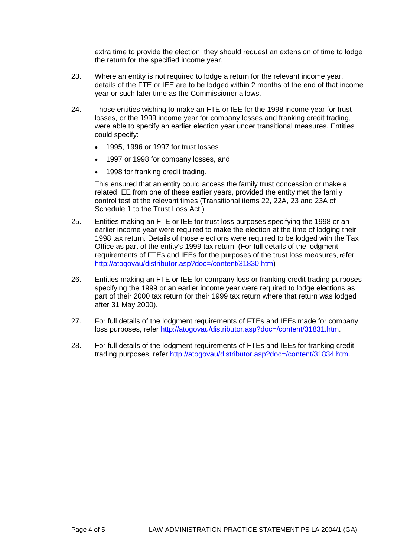extra time to provide the election, they should request an extension of time to lodge the return for the specified income year.

- 23. Where an entity is not required to lodge a return for the relevant income year, details of the FTE or IEE are to be lodged within 2 months of the end of that income year or such later time as the Commissioner allows.
- 24. Those entities wishing to make an FTE or IEE for the 1998 income year for trust losses, or the 1999 income year for company losses and franking credit trading, were able to specify an earlier election year under transitional measures. Entities could specify:
	- 1995, 1996 or 1997 for trust losses
	- 1997 or 1998 for company losses, and
	- 1998 for franking credit trading.

This ensured that an entity could access the family trust concession or make a related IEE from one of these earlier years, provided the entity met the family control test at the relevant times (Transitional items 22, 22A, 23 and 23A of Schedule 1 to the Trust Loss Act.)

- 25. Entities making an FTE or IEE for trust loss purposes specifying the 1998 or an earlier income vear were required to make the election at the time of lodging their 1998 tax return. Details of those elections were required to be lodged with the Tax Office as part of the entity's 1999 tax return. (For full details of the lodgment requirements of FTEs and IEEs for the purposes of the trust loss measures, refer [http://atogovau/distributor.asp?doc=/content/31830.htm\)](http://atogovau/distributor.asp?doc=/content/31830.htm)
- 26. Entities making an FTE or IEE for company loss or franking credit trading purposes specifying the 1999 or an earlier income year were required to lodge elections as part of their 2000 tax return (or their 1999 tax return where that return was lodged after 31 May 2000).
- 27. For full details of the lodgment requirements of FTEs and IEEs made for company loss purposes, refer [http://atogovau/distributor.asp?doc=/content/31831.htm.](http://atogovau/distributor.asp?doc=/content/31831.htm)
- 28. For full details of the lodgment requirements of FTEs and IEEs for franking credit trading purposes, refer [http://atogovau/distributor.asp?doc=/content/31834.htm.](http://atogovau/distributor.asp?doc=/content/31834.htm)